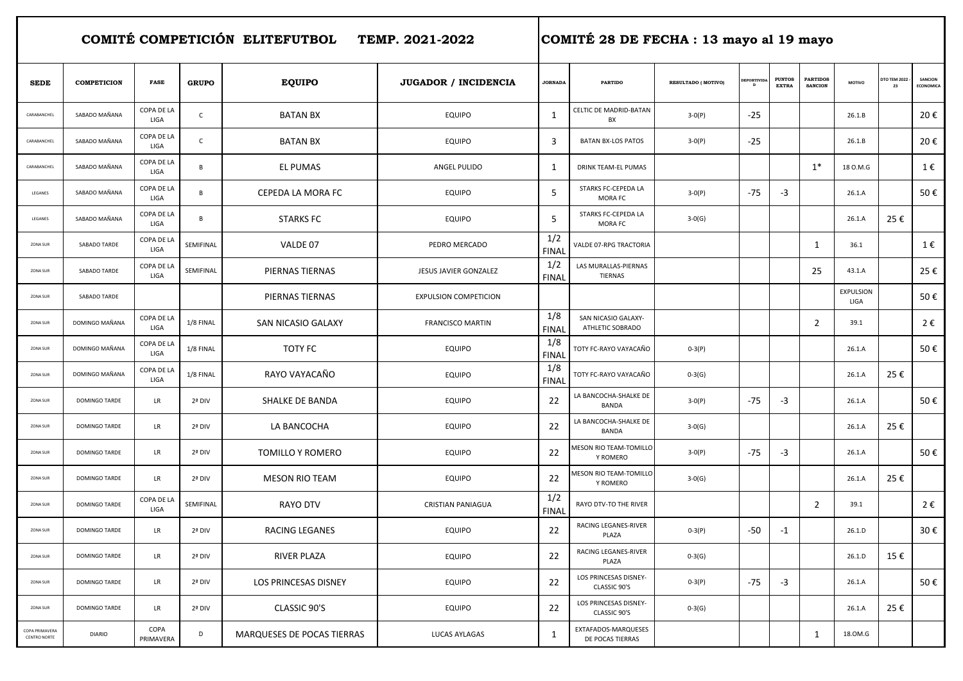|                                       | COMITÉ COMPETICIÓN ELITEFUTBOL TEMP. 2021-2022 |                    |              |                            |                              |                     |                                         | COMITÉ 28 DE FECHA : 13 mayo al 19 mayo |                        |                               |                                   |                          |                           |                      |  |  |  |  |
|---------------------------------------|------------------------------------------------|--------------------|--------------|----------------------------|------------------------------|---------------------|-----------------------------------------|-----------------------------------------|------------------------|-------------------------------|-----------------------------------|--------------------------|---------------------------|----------------------|--|--|--|--|
| <b>SEDE</b>                           | <b>COMPETICION</b>                             | <b>FASE</b>        | <b>GRUPO</b> | <b>EQUIPO</b>              | JUGADOR / INCIDENCIA         | <b>JORNADA</b>      | <b>PARTIDO</b>                          | RESULTADO ( MOTIVO)                     | <b>DEPORTIVID</b><br>D | <b>PUNTOS</b><br><b>EXTRA</b> | <b>PARTIDOS</b><br><b>SANCION</b> | MOTIVO                   | <b>DTO TEM 2022</b><br>23 | SANCION<br>ECONOMICA |  |  |  |  |
| CARABANCHEL                           | SABADO MAÑANA                                  | COPA DE LA<br>LIGA | $\mathsf{C}$ | <b>BATAN BX</b>            | <b>EQUIPO</b>                | 1                   | CELTIC DE MADRID-BATAN<br>BX            | $3-0(P)$                                | $-25$                  |                               |                                   | 26.1.B                   |                           | 20€                  |  |  |  |  |
| CARABANCHEL                           | SABADO MAÑANA                                  | COPA DE LA<br>LIGA | $\mathsf{C}$ | <b>BATAN BX</b>            | <b>EQUIPO</b>                | 3                   | <b>BATAN BX-LOS PATOS</b>               | $3-0(P)$                                | $-25$                  |                               |                                   | 26.1.B                   |                           | 20€                  |  |  |  |  |
| CARABANCHEL                           | SABADO MAÑANA                                  | COPA DE LA<br>LIGA | B            | <b>EL PUMAS</b>            | ANGEL PULIDO                 | 1                   | <b>DRINK TEAM-EL PUMAS</b>              |                                         |                        |                               | $1^*$                             | 18 O.M.G                 |                           | 1€                   |  |  |  |  |
| LEGANES                               | SABADO MAÑANA                                  | COPA DE LA<br>LIGA | B            | CEPEDA LA MORA FC          | <b>EQUIPO</b>                | 5                   | STARKS FC-CEPEDA LA<br>MORA FC          | $3-0(P)$                                | -75                    | $-3$                          |                                   | 26.1.A                   |                           | 50€                  |  |  |  |  |
| LEGANES                               | SABADO MAÑANA                                  | COPA DE LA<br>LIGA | B            | <b>STARKS FC</b>           | <b>EQUIPO</b>                | 5                   | STARKS FC-CEPEDA LA<br><b>MORA FC</b>   | $3-0(G)$                                |                        |                               |                                   | 26.1.A                   | 25€                       |                      |  |  |  |  |
| ZONA SUR                              | SABADO TARDE                                   | COPA DE LA<br>LIGA | SEMIFINAL    | VALDE 07                   | PEDRO MERCADO                | 1/2<br><b>FINAL</b> | VALDE 07-RPG TRACTORIA                  |                                         |                        |                               | 1                                 | 36.1                     |                           | 1€                   |  |  |  |  |
| ZONA SUR                              | SABADO TARDE                                   | COPA DE LA<br>LIGA | SEMIFINAL    | PIERNAS TIERNAS            | JESUS JAVIER GONZALEZ        | 1/2<br><b>FINAL</b> | LAS MURALLAS-PIERNAS<br>TIERNAS         |                                         |                        |                               | 25                                | 43.1.A                   |                           | 25€                  |  |  |  |  |
| ZONA SUR                              | SABADO TARDE                                   |                    |              | PIERNAS TIERNAS            | <b>EXPULSION COMPETICION</b> |                     |                                         |                                         |                        |                               |                                   | <b>EXPULSION</b><br>LIGA |                           | 50€                  |  |  |  |  |
| ZONA SUR                              | DOMINGO MAÑANA                                 | COPA DE LA<br>LIGA | 1/8 FINAL    | SAN NICASIO GALAXY         | <b>FRANCISCO MARTIN</b>      | 1/8<br><b>FINAL</b> | SAN NICASIO GALAXY-<br>ATHLETIC SOBRADO |                                         |                        |                               | $\overline{2}$                    | 39.1                     |                           | 2€                   |  |  |  |  |
| ZONA SUR                              | DOMINGO MAÑANA                                 | COPA DE LA<br>LIGA | 1/8 FINAL    | TOTY FC                    | <b>EQUIPO</b>                | 1/8<br><b>FINAL</b> | TOTY FC-RAYO VAYACAÑO                   | $0-3(P)$                                |                        |                               |                                   | 26.1.A                   |                           | 50€                  |  |  |  |  |
| ZONA SUR                              | DOMINGO MAÑANA                                 | COPA DE LA<br>LIGA | 1/8 FINAL    | RAYO VAYACAÑO              | <b>EQUIPO</b>                | 1/8<br><b>FINAL</b> | TOTY FC-RAYO VAYACAÑO                   | $0-3(G)$                                |                        |                               |                                   | 26.1.A                   | 25€                       |                      |  |  |  |  |
| ZONA SUR                              | DOMINGO TARDE                                  | LR                 | 2ª DIV       | SHALKE DE BANDA            | <b>EQUIPO</b>                | 22                  | LA BANCOCHA-SHALKE DE<br><b>BANDA</b>   | $3-0(P)$                                | $-75$                  | $-3$                          |                                   | 26.1.A                   |                           | 50€                  |  |  |  |  |
| ZONA SUR                              | DOMINGO TARDE                                  | LR                 | 2ª DIV       | LA BANCOCHA                | <b>EQUIPO</b>                | 22                  | LA BANCOCHA-SHALKE DE<br><b>BANDA</b>   | $3-0(G)$                                |                        |                               |                                   | 26.1.A                   | 25€                       |                      |  |  |  |  |
| ZONA SUR                              | <b>DOMINGO TARDE</b>                           | LR                 | 2ª DIV       | TOMILLO Y ROMERO           | <b>EQUIPO</b>                | 22                  | MESON RIO TEAM-TOMILLO<br>Y ROMERO      | $3-0(P)$                                | $-75$                  | $-3$                          |                                   | 26.1.A                   |                           | 50€                  |  |  |  |  |
| ZONA SUR                              | DOMINGO TARDE                                  | LR                 | 2ª DIV       | <b>MESON RIO TEAM</b>      | <b>EQUIPO</b>                | 22                  | MESON RIO TEAM-TOMILLO<br>Y ROMERO      | $3-0(G)$                                |                        |                               |                                   | 26.1.A                   | 25€                       |                      |  |  |  |  |
| ZONA SUR                              | <b>DOMINGO TARDE</b>                           | COPA DE LA<br>LIGA | SEMIFINAL    | <b>RAYO DTV</b>            | <b>CRISTIAN PANIAGUA</b>     | 1/2<br><b>FINAL</b> | RAYO DTV-TO THE RIVER                   |                                         |                        |                               | $\overline{2}$                    | 39.1                     |                           | 2€                   |  |  |  |  |
| ZONA SUR                              | DOMINGO TARDE                                  | LR                 | 2ª DIV       | RACING LEGANES             | <b>EQUIPO</b>                | 22                  | RACING LEGANES-RIVER<br>PLAZA           | $0-3(P)$                                | $-50$                  | $-1$                          |                                   | 26.1.D                   |                           | 30€                  |  |  |  |  |
| ZONA SUR                              | DOMINGO TARDE                                  | LR                 | 2ª DIV       | <b>RIVER PLAZA</b>         | <b>EQUIPO</b>                | 22                  | RACING LEGANES-RIVER<br>PLAZA           | $0-3(G)$                                |                        |                               |                                   | 26.1.D                   | 15€                       |                      |  |  |  |  |
| ZONA SUR                              | DOMINGO TARDE                                  | LR                 | 2ª DIV       | LOS PRINCESAS DISNEY       | <b>EQUIPO</b>                | 22                  | LOS PRINCESAS DISNEY-<br>CLASSIC 90'S   | $0-3(P)$                                | $-75$                  | $-3$                          |                                   | 26.1.A                   |                           | 50€                  |  |  |  |  |
| ZONA SUR                              | DOMINGO TARDE                                  | LR                 | 2ª DIV       | CLASSIC 90'S               | <b>EQUIPO</b>                | 22                  | LOS PRINCESAS DISNEY-<br>CLASSIC 90'S   | $0-3(G)$                                |                        |                               |                                   | 26.1.A                   | 25€                       |                      |  |  |  |  |
| COPA PRIMAVERA<br><b>CENTRO NORTE</b> | <b>DIARIO</b>                                  | COPA<br>PRIMAVERA  | D            | MARQUESES DE POCAS TIERRAS | LUCAS AYLAGAS                | 1                   | EXTAFADOS-MARQUESES<br>DE POCAS TIERRAS |                                         |                        |                               | 1                                 | 18.0M.G                  |                           |                      |  |  |  |  |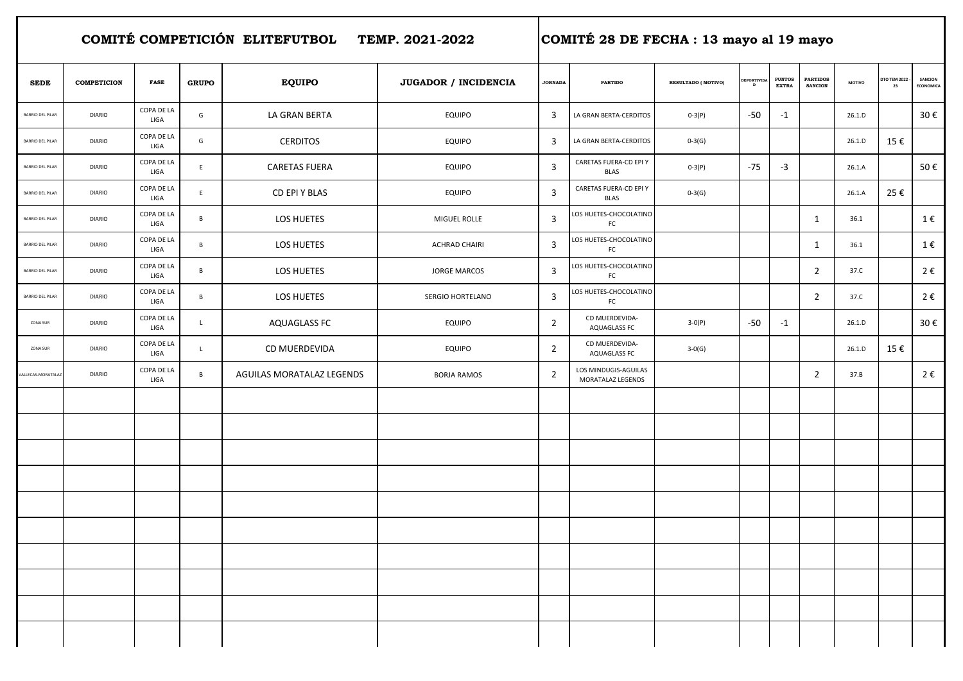|                         |                    |                    |              | COMITÉ COMPETICIÓN ELITEFUTBOL | TEMP. 2021-2022      |                | COMITÉ 28 DE FECHA : 13 mayo al 19 mayo   |                    |                                    |                               |                                   |               |                      |                             |
|-------------------------|--------------------|--------------------|--------------|--------------------------------|----------------------|----------------|-------------------------------------------|--------------------|------------------------------------|-------------------------------|-----------------------------------|---------------|----------------------|-----------------------------|
| <b>SEDE</b>             | <b>COMPETICION</b> | <b>FASE</b>        | <b>GRUPO</b> | <b>EQUIPO</b>                  | JUGADOR / INCIDENCIA | <b>JORNADA</b> | PARTIDO                                   | RESULTADO (MOTIVO) | <b>DEPORTIVID.</b><br>$\mathbf{D}$ | <b>PUNTOS</b><br><b>EXTRA</b> | <b>PARTIDOS</b><br><b>SANCION</b> | <b>MOTIVO</b> | DTO TEM 2022 -<br>23 | <b>SANCION</b><br>ECONOMICA |
| <b>BARRIO DEL PILAR</b> | <b>DIARIO</b>      | COPA DE LA<br>LIGA | G            | LA GRAN BERTA                  | EQUIPO               | $\overline{3}$ | LA GRAN BERTA-CERDITOS                    | $0-3(P)$           | $-50$                              | $-1$                          |                                   | 26.1.D        |                      | 30€                         |
| <b>BARRIO DEL PILAR</b> | <b>DIARIO</b>      | COPA DE LA<br>LIGA | G            | <b>CERDITOS</b>                | EQUIPO               | $\overline{3}$ | LA GRAN BERTA-CERDITOS                    | $0-3(G)$           |                                    |                               |                                   | 26.1.D        | 15 €                 |                             |
| <b>BARRIO DEL PILAR</b> | <b>DIARIO</b>      | COPA DE LA<br>LIGA | E            | <b>CARETAS FUERA</b>           | EQUIPO               | $\overline{3}$ | CARETAS FUERA-CD EPI Y<br><b>BLAS</b>     | $0-3(P)$           | $-75$                              | $-3$                          |                                   | 26.1.A        |                      | 50€                         |
| <b>BARRIO DEL PILAR</b> | <b>DIARIO</b>      | COPA DE LA<br>LIGA | E            | CD EPI Y BLAS                  | EQUIPO               | $\overline{3}$ | CARETAS FUERA-CD EPI Y<br><b>BLAS</b>     | $0-3(G)$           |                                    |                               |                                   | 26.1.A        | 25€                  |                             |
| <b>BARRIO DEL PILAR</b> | <b>DIARIO</b>      | COPA DE LA<br>LIGA | $\, {\sf B}$ | LOS HUETES                     | MIGUEL ROLLE         | $\overline{3}$ | LOS HUETES-CHOCOLATINO<br>FC              |                    |                                    |                               | 1                                 | 36.1          |                      | 1€                          |
| <b>BARRIO DEL PILAR</b> | <b>DIARIO</b>      | COPA DE LA<br>LIGA | $\mathsf B$  | LOS HUETES                     | <b>ACHRAD CHAIRI</b> | $\overline{3}$ | LOS HUETES-CHOCOLATINO<br>FC              |                    |                                    |                               | 1                                 | 36.1          |                      | 1€                          |
| <b>BARRIO DEL PILAR</b> | <b>DIARIO</b>      | COPA DE LA<br>LIGA | $\, {\sf B}$ | LOS HUETES                     | <b>JORGE MARCOS</b>  | $\overline{3}$ | OS HUETES-CHOCOLATINO<br>FC               |                    |                                    |                               | $\overline{2}$                    | 37.C          |                      | 2€                          |
| <b>BARRIO DEL PILAR</b> | <b>DIARIO</b>      | COPA DE LA<br>LIGA | B            | LOS HUETES                     | SERGIO HORTELANO     | $\overline{3}$ | OS HUETES-CHOCOLATINO<br>FC               |                    |                                    |                               | $\overline{2}$                    | 37.C          |                      | 2€                          |
| ZONA SUR                | <b>DIARIO</b>      | COPA DE LA<br>LIGA | $\mathsf{L}$ | <b>AQUAGLASS FC</b>            | EQUIPO               | $\overline{2}$ | CD MUERDEVIDA-<br>AQUAGLASS FC            | $3-0(P)$           | $-50$                              | $-1$                          |                                   | 26.1.D        |                      | 30€                         |
| ZONA SUR                | <b>DIARIO</b>      | COPA DE LA<br>LIGA | $\mathsf{L}$ | CD MUERDEVIDA                  | EQUIPO               | $\overline{2}$ | CD MUERDEVIDA-<br>AQUAGLASS FC            | $3-0(G)$           |                                    |                               |                                   | 26.1.D        | 15€                  |                             |
| VALLECAS-MORATALAZ      | <b>DIARIO</b>      | COPA DE LA<br>LIGA | $\, {\sf B}$ | AGUILAS MORATALAZ LEGENDS      | <b>BORJA RAMOS</b>   | $\overline{2}$ | LOS MINDUGIS-AGUILAS<br>MORATALAZ LEGENDS |                    |                                    |                               | $\overline{2}$                    | 37.B          |                      | 2€                          |
|                         |                    |                    |              |                                |                      |                |                                           |                    |                                    |                               |                                   |               |                      |                             |
|                         |                    |                    |              |                                |                      |                |                                           |                    |                                    |                               |                                   |               |                      |                             |
|                         |                    |                    |              |                                |                      |                |                                           |                    |                                    |                               |                                   |               |                      |                             |
|                         |                    |                    |              |                                |                      |                |                                           |                    |                                    |                               |                                   |               |                      |                             |
|                         |                    |                    |              |                                |                      |                |                                           |                    |                                    |                               |                                   |               |                      |                             |
|                         |                    |                    |              |                                |                      |                |                                           |                    |                                    |                               |                                   |               |                      |                             |
|                         |                    |                    |              |                                |                      |                |                                           |                    |                                    |                               |                                   |               |                      |                             |
|                         |                    |                    |              |                                |                      |                |                                           |                    |                                    |                               |                                   |               |                      |                             |
|                         |                    |                    |              |                                |                      |                |                                           |                    |                                    |                               |                                   |               |                      |                             |
|                         |                    |                    |              |                                |                      |                |                                           |                    |                                    |                               |                                   |               |                      |                             |